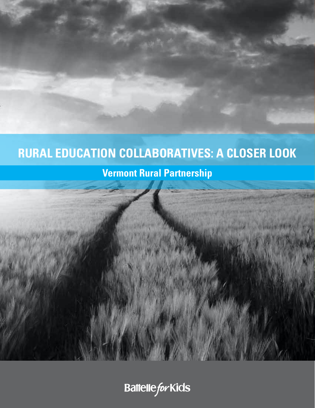# **RURAL EDUCATION COLLABORATIVES: A CLOSER LOOK**

## **Vermont Rural Partnership**

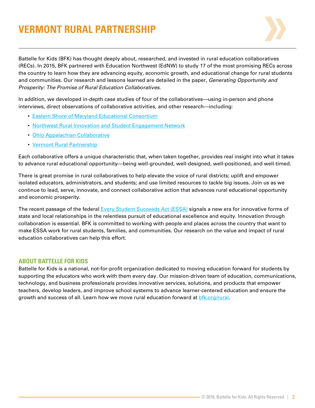## **VERMONT RURAL PARTNERSHIP**



Battelle for Kids (BFK) has thought deeply about, researched, and invested in rural education collaboratives (RECs). In 2015, BFK partnered with Education Northwest (EdNW) to study 17 of the most promising RECs across the country to learn how they are advancing equity, economic growth, and educational change for rural students and communities. Our research and lessons learned are detailed in the paper, *Generating Opportunity and Prosperity: The Promise of Rural Education Collaboratives*.

In addition, we developed in-depth case studies of four of the collaboratives—using in-person and phone interviews, direct observations of collaborative activities, and other research—including:

- [Eastern Shore of Maryland Educational Consortium](http://www.esmec.org/)
- [Northwest Rural Innovation and Student Engagement Network](http://nwcc.educationnorthwest.org/nw-rise-network)
- [Ohio Appalachian Collaborative](http://portal.battelleforkids.org/OAC/oac-home)
- [Vermont Rural Partnership](http://www.vermontruralpartnership.org/)

Each collaborative offers a unique characteristic that, when taken together, provides real insight into what it takes to advance rural educational opportunity—being well-grounded, well-designed, well-positioned, and well-timed.

There is great promise in rural collaboratives to help elevate the voice of rural districts; uplift and empower isolated educators, administrators, and students; and use limited resources to tackle big issues. Join us as we continue to lead, serve, innovate, and connect collaborative action that advances rural educational opportunity and economic prosperity.

The recent passage of the federal [Every Student Succeeds Act \(ESSA\)](http://www.ed.gov/essa) signals a new era for innovative forms of state and local relationships in the relentless pursuit of educational excellence and equity. Innovation through collaboration is essential. BFK is committed to working with people and places across the country that want to make ESSA work for rural students, families, and communities. Our research on the value and impact of rural education collaboratives can help this effort.

#### **ABOUT BATTELLE FOR KIDS**

Battelle for Kids is a national, not-for-profit organization dedicated to moving education forward for students by supporting the educators who work with them every day. Our mission-driven team of education, communications, technology, and business professionals provides innovative services, solutions, and products that empower teachers, develop leaders, and improve school systems to advance learner-centered education and ensure the growth and success of all. Learn how we move rural education forward at bfk.org/rural.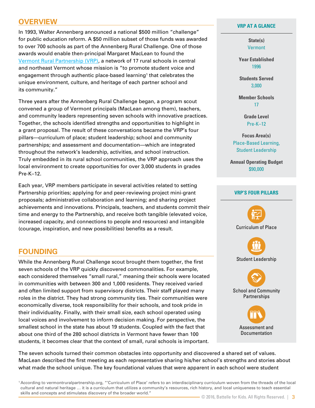## **OVERVIEW**

In 1993, Walter Annenberg announced a national \$500 million "challenge" for public education reform. A \$50 million subset of those funds was awarded to over 700 schools as part of the Annenberg Rural Challenge. One of those awards would enable then-principal Margaret MacLean to found the [Vermont Rural Partnership \(VRP\)](http://www.vermontruralpartnership.org/), a network of 17 rural schools in central and northeast Vermont whose mission is "to promote student voice and engagement through authentic place-based learning1 that celebrates the unique environment, culture, and heritage of each partner school and its community."

Three years after the Annenberg Rural Challenge began, a program scout convened a group of Vermont principals (MacLean among them), teachers, and community leaders representing seven schools with innovative practices. Together, the schools identified strengths and opportunities to highlight in a grant proposal. The result of these conversations became the VRP's four pillars—curriculum of place; student leadership; school and community partnerships; and assessment and documentation—which are integrated throughout the network's leadership, activities, and school instruction. Truly embedded in its rural school communities, the VRP approach uses the local environment to create opportunities for over 3,000 students in grades Pre-K–12.

Each year, VRP members participate in several activities related to setting Partnership priorities; applying for and peer-reviewing project mini-grant proposals; administrative collaboration and learning; and sharing project achievements and innovations. Principals, teachers, and students commit their time and energy to the Partnership, and receive both tangible (elevated voice, increased capacity, and connections to people and resources) and intangible (courage, inspiration, and new possibilities) benefits as a result.

## **FOUNDING**

While the Annenberg Rural Challenge scout brought them together, the first seven schools of the VRP quickly discovered commonalities. For example, each considered themselves "small rural," meaning their schools were located in communities with between 300 and 1,000 residents. They received varied and often limited support from supervisory districts. Their staff played many roles in the district. They had strong community ties. Their communities were economically diverse, took responsibility for their schools, and took pride in their individuality. Finally, with their small size, each school operated using local voices and involvement to inform decision making. For perspective, the smallest school in the state has about 19 students. Coupled with the fact that about one third of the 280 school districts in Vermont have fewer than 100 students, it becomes clear that the context of small, rural schools is important.

#### **VRP AT A GLANCE**

**State(s) Vermont** 

**Year Established** 1996

**Students Served** 3,000

**Member Schools** 17

> **Grade Level** Pre-K–12

**Focus Area(s)** Place-Based Learning, Student Leadership

**Annual Operating Budget** \$90,000

#### **VRP'S FOUR PILLARS**



The seven schools turned their common obstacles into opportunity and discovered a shared set of values. MacLean described the first meeting as each representative sharing his/her school's strengths and stories about what made the school unique. The key foundational values that were apparent in each school were student

1 According to vermontruralpartnership.org, "'Curriculum of Place' refers to an interdisciplinary curriculum woven from the threads of the local cultural and natural heritage … it is a curriculum that utilizes a community's resources, rich history, and local uniqueness to teach essential skills and concepts and stimulates discovery of the broader world."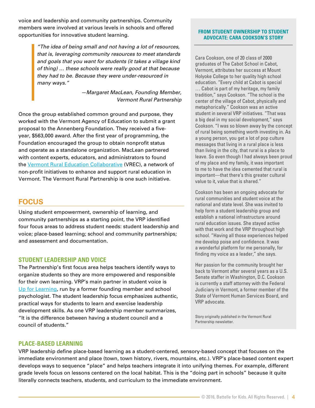voice and leadership and community partnerships. Community members were involved at various levels in schools and offered opportunities for innovative student learning.

> *"The idea of being small and not having a lot of resources, that is, leveraging community resources to meet standards and goals that you want for students (it takes a village kind of thing) … these schools were really good at that because they had to be. Because they were under-resourced in many ways."*

> > *—Margaret MacLean, Founding Member, Vermont Rural Partnership*

Once the group established common ground and purpose, they worked with the Vermont Agency of Education to submit a grant proposal to the Annenberg Foundation. They received a fiveyear, \$563,000 award. After the first year of programming, the Foundation encouraged the group to obtain nonprofit status and operate as a standalone organization. MacLean partnered with content experts, educators, and administrators to found the [Vermont Rural Education Collaborative](http://vermontcollaborative.org/) (VREC), a network of non-profit initiatives to enhance and support rural education in Vermont. The Vermont Rural Partnership is one such initiative.

### **FOCUS**

Using student empowerment, ownership of learning, and community partnerships as a starting point, the VRP identified four focus areas to address student needs: student leadership and voice; place-based learning; school and community partnerships; and assessment and documentation.

#### **STUDENT LEADERSHIP AND VOICE**

The Partnership's first focus area helps teachers identify ways to organize students so they are more empowered and responsible for their own learning. VRP's main partner in student voice is [Up for Learning](http://www.upforlearning.com/), run by a former founding member and school psychologist. The student leadership focus emphasizes authentic, practical ways for students to learn and exercise leadership development skills. As one VRP leadership member summarizes, "It is the difference between having a student council and a council of students."

#### **FROM STUDENT OWNERSHIP TO STUDENT ADVOCATE: CARA COOKSON'S STORY**

Cara Cookson, one of 20 class of 2000 graduates of The Cabot School in Cabot, Vermont, attributes her success at Mount Holyoke College to her quality high school education. "Every child at Cabot is special … Cabot is part of my heritage, my family tradition," says Cookson. "The school is the center of the village of Cabot, physically and metaphorically." Cookson was an active student in several VRP initiatives. "That was a big deal in my social development," says Cookson. "I was so blown away by the concept of rural being something worth investing in. As a young person, you get a lot of pop culture messages that living in a rural place is less than living in the city, that rural is a place to leave. So even though I had always been proud of my place and my family, it was important to me to have the idea cemented that rural is important—that there's this greater cultural value to it, value that is shared."

Cookson has been an ongoing advocate for rural communities and student voice at the national and state level. She was invited to help form a student leadership group and establish a national infrastructure around rural education issues. She stayed active with that work and the VRP throughout high school. "Having all those experiences helped me develop poise and confidence. It was a wonderful platform for me personally, for finding my voice as a leader," she says.

Her passion for the community brought her back to Vermont after several years as a U.S. Senate staffer in Washington, D.C. Cookson is currently a staff attorney with the Federal Judiciary in Vermont, a former member of the State of Vermont Human Services Board, and VRP advocate.

Story originally published in the Vermont Rural Partnership newsletter.

#### **PLACE-BASED LEARNING**

VRP leadership define place-based learning as a student-centered, sensory-based concept that focuses on the immediate environment and place (town, town history, rivers, mountains, etc.). VRP's place-based content expert develops ways to sequence "place" and helps teachers integrate it into unifying themes. For example, different grade levels focus on lessons centered on the local habitat. This is the "doing part in schools" because it quite literally connects teachers, students, and curriculum to the immediate environment.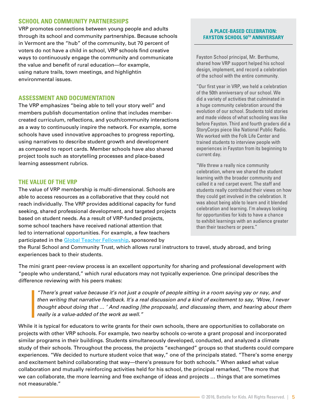#### **SCHOOL AND COMMUNITY PARTNERSHIPS**

VRP promotes connections between young people and adults through its school and community partnerships. Because schools in Vermont are the "hub" of the community, but 70 percent of voters do not have a child in school, VRP schools find creative ways to continuously engage the community and communicate the value and benefit of rural education—for example, using nature trails, town meetings, and highlightin environmental issues.

#### **ASSESSMENT AND DOCUMENTATION**

The VRP emphasizes "being able to tell your story well" and members publish documentation online that includes membercreated curriculum, reflections, and youth/community interactions as a way to continuously inspire the network. For example, some schools have used innovative approaches to progress reporting, using narratives to describe student growth and development as compared to report cards. Member schools have also shared project tools such as storytelling processes and place-based learning assessment rubrics.

#### **THE VALUE OF THE VRP**

The value of VRP membership is multi-dimensional. Schools are able to access resources as a collaborative that they could not reach individually. The VRP provides additional capacity for fund seeking, shared professional development, and targeted projects based on student needs. As a result of VRP-funded projects, some school teachers have received national attention that led to international opportunities. For example, a few teachers participated in the [Global Teacher Fellowship,](http://www.globalteacherfellowship.ruraledu.org/) sponsored by

#### **A PLACE-BASED CELEBRATION: FAYSTON SCHOOL 50TH ANNIVERSARY**

Fayston School principal, Mr. Berthume, shared how VRP support helped his school design, implement, and record a celebration of the school with the entire community.

"Our first year in VRP, we held a celebration of the 50th anniversary of our school. We did a variety of activities that culminated in a huge community celebration around the evolution of our school. Students told stories and made videos of what schooling was like before Fayston. Third and fourth graders did a StoryCorps piece like National Public Radio. We worked with the Folk Life Center and trained students to interview people with experiences in Fayston from its beginning to current day.

"We threw a really nice community celebration, where we shared the student learning with the broader community and called it a red carpet event. The staff and students really contributed their views on how they could get involved in the celebration. It was about being able to learn and it blended celebration and learning. I'm always looking for opportunities for kids to have a chance to exhibit learnings with an audience greater than their teachers or peers."

the Rural School and Community Trust, which allows rural instructors to travel, study abroad, and bring experiences back to their students.

The mini grant peer-review process is an excellent opportunity for sharing and professional development with "people who understand," which rural educators may not typically experience. One principal describes the difference reviewing with his peers makes:

*"There's great value because it's not just a couple of people sitting in a room saying yay or nay, and then writing that narrative feedback. It's a real discussion and a kind of excitement to say, 'Wow, I never thought about doing that … ' And reading [the proposals], and discussing them, and hearing about them really is a value-added of the work as well."*

While it is typical for educators to write grants for their own schools, there are opportunities to collaborate on projects with other VRP schools. For example, two nearby schools co-wrote a grant proposal and incorporated similar programs in their buildings. Students simultaneously developed, conducted, and analyzed a climate study of their schools. Throughout the process, the projects "exchanged" groups so that students could compare experiences. "We decided to nurture student voice that way," one of the principals stated. "There's some energy and excitement behind collaborating that way—there's pressure for both schools." When asked what value collaboration and mutually reinforcing activities held for his school, the principal remarked, "The more that we can collaborate, the more learning and free exchange of ideas and projects … things that are sometimes not measurable."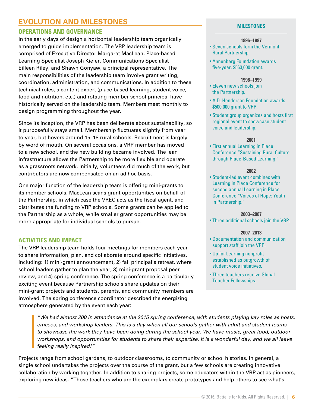## **EVOLUTION AND MILESTONES**

#### **OPERATIONS AND GOVERNANCE**

In the early days of design a horizontal leadership team organically emerged to guide implementation. The VRP leadership team is comprised of Executive Director Margaret MacLean, Place-based Learning Specialist Joseph Kiefer, Communications Specialist Eilleen Riley, and Shawn Gonyaw, a principal representative. The main responsibilities of the leadership team involve grant writing, coordination, administration, and communications. In addition to these technical roles, a content expert (place-based learning, student voice, food and nutrition, etc.) and rotating member school principal have historically served on the leadership team. Members meet monthly to design programming throughout the year.

Since its inception, the VRP has been deliberate about sustainability, so it purposefully stays small. Membership fluctuates slightly from year to year, but hovers around 15–18 rural schools. Recruitment is largely by word of mouth. On several occasions, a VRP member has moved to a new school, and the new building became involved. The lean infrastructure allows the Partnership to be more flexible and operate as a grassroots network. Initially, volunteers did much of the work, but contributors are now compensated on an ad hoc basis.

One major function of the leadership team is offering mini-grants to its member schools. MacLean scans grant opportunities on behalf of the Partnership, in which case the VREC acts as the fiscal agent, and distributes the funding to VRP schools. Some grants can be applied to the Partnership as a whole, while smaller grant opportunities may be more appropriate for individual schools to pursue.

#### **ACTIVITIES AND IMPACT**

The VRP leadership team holds four meetings for members each year to share information, plan, and collaborate around specific initiatives, including: 1) mini-grant announcement, 2) fall principal's retreat, where school leaders gather to plan the year, 3) mini-grant proposal peer review, and 4) spring conference. The spring conference is a particularly exciting event because Partnership schools share updates on their mini-grant projects and students, parents, and community members are involved. The spring conference coordinator described the energizing atmosphere generated by the event each year:

#### **MILESTONES**

#### **1996–1997**

- Seven schools form the Vermont Rural Partnership.
- Annenberg Foundation awards five-year, \$563,000 grant.

#### **1998–1999**

- Eleven new schools join the Partnership.
- A.D. Henderson Foundation awards \$500,000 grant to VRP.
- Student group organizes and hosts first regional event to showcase student voice and leadership.

#### **2001**

• First annual Learning in Place Conference "Sustaining Rural Culture through Place-Based Learning."

#### **2002**

• Student-led event combines with Learning in Place Conference for second annual Learning in Place Conference "Voices of Hope: Youth in Partnership."

#### **2003–2007**

• Three additional schools join the VRP.

#### **2007–2013**

- Documentation and communication support staff join the VRP.
- Up for Learning nonprofit established as outgrowth of student voice initiatives.
- Three teachers receive Global Teacher Fellowships.

*"We had almost 200 in attendance at the 2015 spring conference, with students playing key roles as hosts, emcees, and workshop leaders. This is a day when all our schools gather with adult and student teams to showcase the work they have been doing during the school year. We have music, great food, outdoor workshops, and opportunities for students to share their expertise. It is a wonderful day, and we all leave feeling really inspired!"* 

Projects range from school gardens, to outdoor classrooms, to community or school histories. In general, a single school undertakes the projects over the course of the grant, but a few schools are creating innovative collaboration by working together. In addition to sharing projects, some educators within the VRP act as pioneers, exploring new ideas. "Those teachers who are the exemplars create prototypes and help others to see what's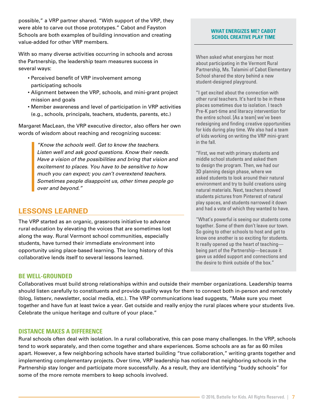possible," a VRP partner shared. "With support of the VRP, they were able to carve out those prototypes." Cabot and Fayston Schools are both examples of building innovation and creating value-added for other VRP members.

With so many diverse activities occurring in schools and across the Partnership, the leadership team measures success in several ways:

- Perceived benefit of VRP involvement among participating schools
- Alignment between the VRP, schools, and mini-grant project mission and goals
- Member awareness and level of participation in VRP activities (e.g., schools, principals, teachers, students, parents, etc.)

Margaret MacLean, the VRP executive director, also offers her own words of wisdom about reaching and recognizing success:

> *"Know the schools well. Get to know the teachers. Listen well and ask good questions. Know their needs. Have a vision of the possibilities and bring that vision and excitement to places. You have to be sensitive to how much you can expect; you can't overextend teachers. Sometimes people disappoint us, other times people go over and beyond."*

## **LESSONS LEARNED**

The VRP started as an organic, grassroots initiative to advance rural education by elevating the voices that are sometimes lost along the way. Rural Vermont school communities, especially students, have turned their immediate environment into opportunity using place-based learning. The long history of this collaborative lends itself to several lessons learned.

#### **BE WELL-GROUNDED**

Collaboratives must build strong relationships within and outside their member organizations. Leadership teams should listen carefully to constituents and provide quality ways for them to connect both in-person and remotely (blog, listserv, newsletter, social media, etc.). The VRP communications lead suggests, "Make sure you meet together and have fun at least twice a year. Get outside and really enjoy the rural places where your students live. Celebrate the unique heritage and culture of your place."

#### **DISTANCE MAKES A DIFFERENCE**

Rural schools often deal with isolation. In a rural collaborative, this can pose many challenges. In the VRP, schools tend to work separately, and then come together and share experiences. Some schools are as far as 60 miles apart. However, a few neighboring schools have started building "true collaboration," writing grants together and implementing complementary projects. Over time, VRP leadership has noticed that neighboring schools in the Partnership stay longer and participate more successfully. As a result, they are identifying "buddy schools" for some of the more remote members to keep schools involved.

#### **WHAT ENERGIZES ME? CABOT SCHOOL CREATIVE PLAY TIME**

When asked what energizes her most about participating in the Vermont Rural Partnership, Ms. Talamini of Cabot Elementary School shared the story behind a new student-designed playground.

"I get excited about the connection with other rural teachers. It's hard to be in these places sometimes due to isolation. I teach Pre-K part-time and literacy intervention for the entire school. [As a team] we've been redesigning and finding creative opportunities for kids during play time. We also had a team of kids working on writing the VRP mini-grant in the fall.

"First, we met with primary students and middle school students and asked them to design the program. Then, we had our 3D planning design phase, where we asked students to look around their natural environment and try to build creations using natural materials. Next, teachers showed students pictures from Pinterest of natural play spaces, and students narrowed it down and had a vote of which they wanted to have.

"What's powerful is seeing our students come together. Some of them don't leave our town. So going to other schools to host and get to know one another is so exciting for students. It really opened up the heart of teaching being part of the Partnership—because it gave us added support and connections and the desire to think outside of the box."